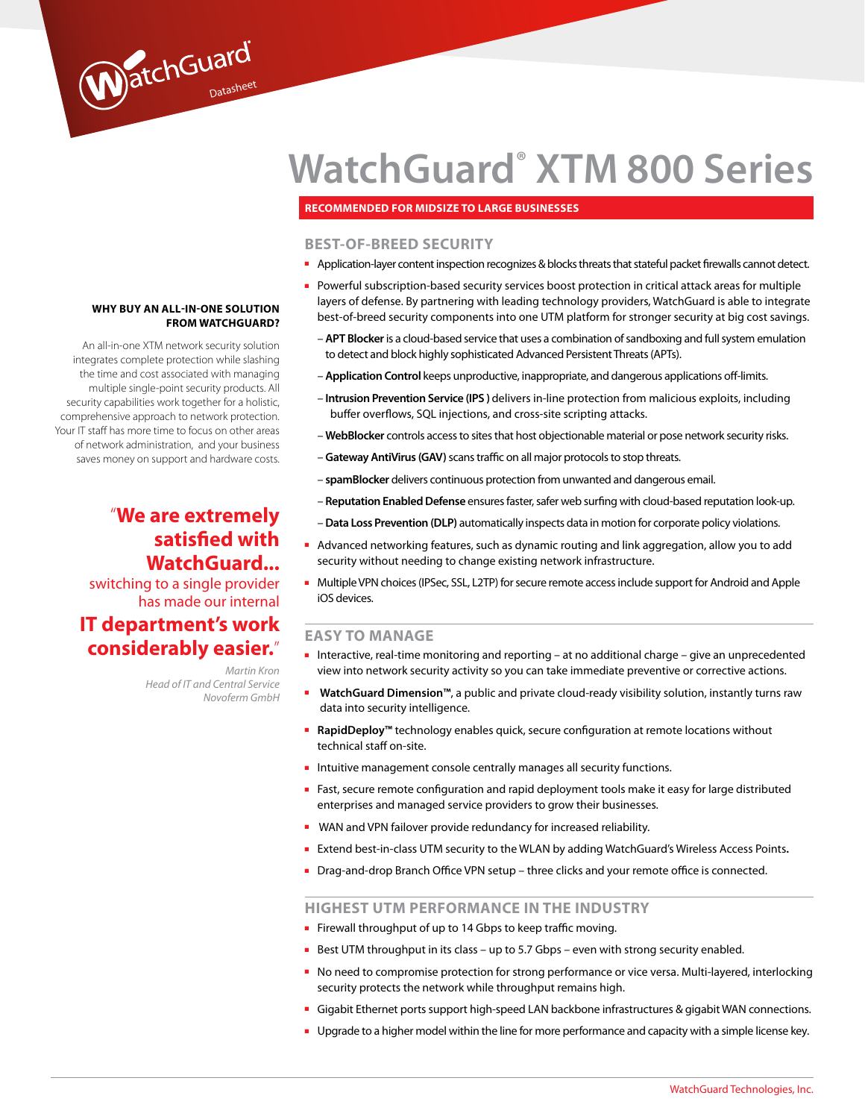# **WatchGuard® XTM 800 Series**

### **Recommended for midsize to large businesses**

## **BEST-OF-BREED SECURITY**

- Application-layer content inspection recognizes & blocks threats that stateful packet firewalls cannot detect.
- Powerful subscription-based security services boost protection in critical attack areas for multiple layers of defense. By partnering with leading technology providers, WatchGuard is able to integrate best-of-breed security components into one UTM platform for stronger security at big cost savings.
	- **APT Blocker** is a cloud-based service that uses a combination of sandboxing and full system emulation to detect and block highly sophisticated Advanced Persistent Threats (APTs).
	- **Application Control** keeps unproductive, inappropriate, and dangerous applications off-limits.
	- **Intrusion Prevention Service (IPS )** delivers in-line protection from malicious exploits, including buffer overflows, SQL injections, and cross-site scripting attacks.
	- **WebBlocker** controls access to sites that host objectionable material or pose network security risks.
	- **Gateway AntiVirus (GAV)** scans traffic on all major protocols to stop threats.
	- **spamBlocker** delivers continuous protection from unwanted and dangerous email.
	- **Reputation Enabled Defense** ensures faster, safer web surfing with cloud-based reputation look-up.
	- **Data Loss Prevention (DLP)** automatically inspects data in motion for corporate policy violations.
- Advanced networking features, such as dynamic routing and link aggregation, allow you to add security without needing to change existing network infrastructure.
- Multiple VPN choices (IPSec, SSL, L2TP) for secure remote access include support for Android and Apple iOS devices.

# **EASY TO MANAGE**

- Interactive, real-time monitoring and reporting at no additional charge give an unprecedented view into network security activity so you can take immediate preventive or corrective actions.
- **WatchGuard Dimension™**, a public and private cloud-ready visibility solution, instantly turns raw data into security intelligence.
- **RapidDeploy™** technology enables quick, secure configuration at remote locations without technical staff on-site.
- Intuitive management console centrally manages all security functions.
- Fast, secure remote configuration and rapid deployment tools make it easy for large distributed enterprises and managed service providers to grow their businesses.
- WAN and VPN failover provide redundancy for increased reliability.
- Extend best-in-class UTM security to the WLAN by adding WatchGuard's Wireless Access Points.
- Drag-and-drop Branch Office VPN setup three clicks and your remote office is connected.

# **HIGHEST UTM PERFORMANCE IN THE INDUSTRY**

- Firewall throughput of up to 14 Gbps to keep traffic moving.
- Best UTM throughput in its class up to 5.7 Gbps even with strong security enabled.
- No need to compromise protection for strong performance or vice versa. Multi-layered, interlocking security protects the network while throughput remains high.
- Gigabit Ethernet ports support high-speed LAN backbone infrastructures & gigabit WAN connections.
- Upgrade to a higher model within the line for more performance and capacity with a simple license key.

#### **Why buy an all-in-one solution from watchguard?**

WatchGuard

An all-in-one XTM network security solution integrates complete protection while slashing the time and cost associated with managing multiple single-point security products. All security capabilities work together for a holistic, comprehensive approach to network protection. Your IT staff has more time to focus on other areas of network administration, and your business saves money on support and hardware costs.

# "**We are extremely satisfied with WatchGuard...**

switching to a single provider has made our internal

# **IT department's work considerably easier.**"

*Martin Kron Head of IT and Central Service Novoferm GmbH*